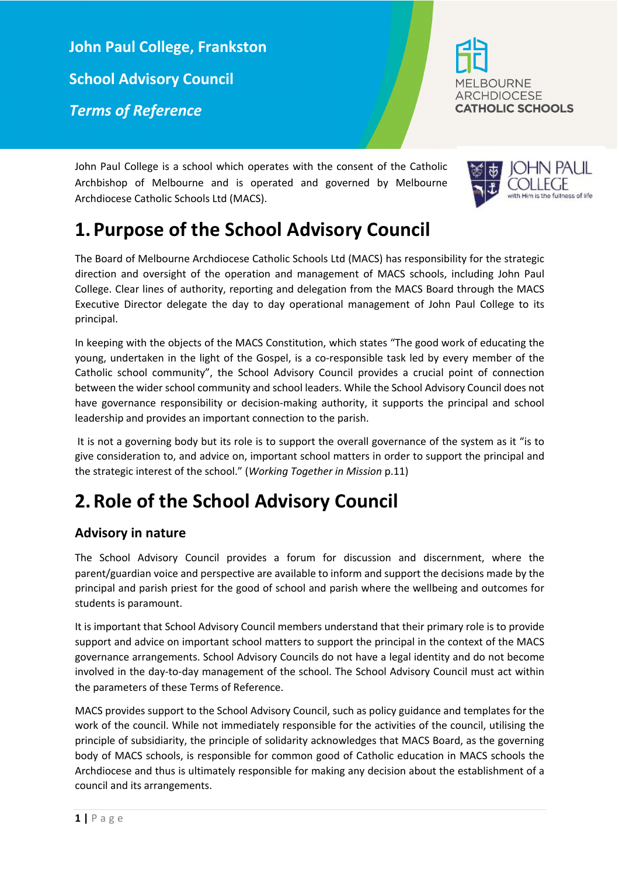**John Paul College, Frankston School Advisory Council**  *Terms of Reference*



John Paul College is a school which operates with the consent of the Catholic Archbishop of Melbourne and is operated and governed by Melbourne Archdiocese Catholic Schools Ltd (MACS).

## **1.Purpose of the School Advisory Council**

The Board of Melbourne Archdiocese Catholic Schools Ltd (MACS) has responsibility for the strategic direction and oversight of the operation and management of MACS schools, including John Paul College. Clear lines of authority, reporting and delegation from the MACS Board through the MACS Executive Director delegate the day to day operational management of John Paul College to its principal.

In keeping with the objects of the MACS Constitution, which states "The good work of educating the young, undertaken in the light of the Gospel, is a co-responsible task led by every member of the Catholic school community", the School Advisory Council provides a crucial point of connection between the wider school community and school leaders. While the School Advisory Council does not have governance responsibility or decision-making authority, it supports the principal and school leadership and provides an important connection to the parish.

It is not a governing body but its role is to support the overall governance of the system as it "is to give consideration to, and advice on, important school matters in order to support the principal and the strategic interest of the school." (*Working Together in Mission* p.11)

# **2.Role of the School Advisory Council**

### **Advisory in nature**

The School Advisory Council provides a forum for discussion and discernment, where the parent/guardian voice and perspective are available to inform and support the decisions made by the principal and parish priest for the good of school and parish where the wellbeing and outcomes for students is paramount.

It is important that School Advisory Council members understand that their primary role is to provide support and advice on important school matters to support the principal in the context of the MACS governance arrangements. School Advisory Councils do not have a legal identity and do not become involved in the day-to-day management of the school. The School Advisory Council must act within the parameters of these Terms of Reference.

MACS provides support to the School Advisory Council, such as policy guidance and templates for the work of the council. While not immediately responsible for the activities of the council, utilising the principle of subsidiarity, the principle of solidarity acknowledges that MACS Board, as the governing body of MACS schools, is responsible for common good of Catholic education in MACS schools the Archdiocese and thus is ultimately responsible for making any decision about the establishment of a council and its arrangements.

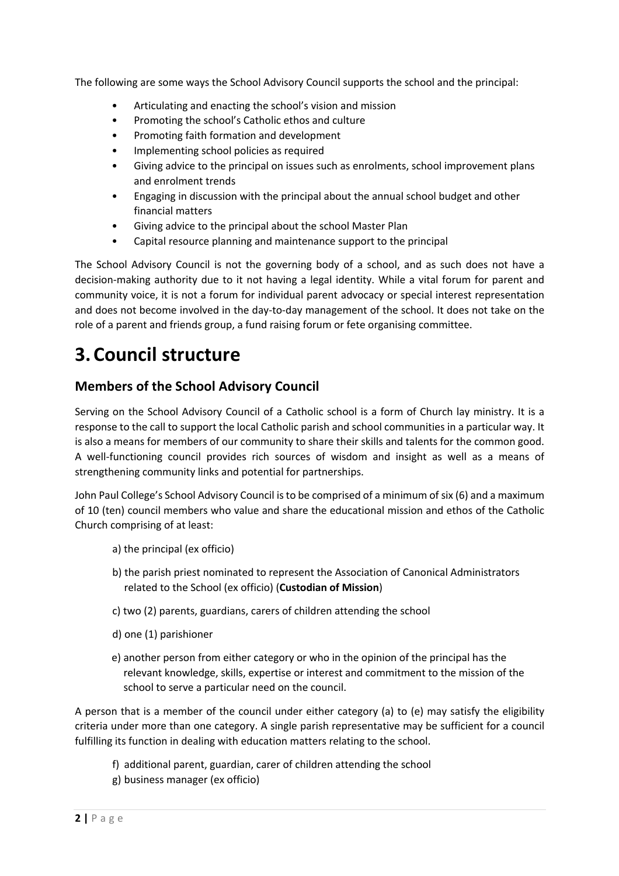The following are some ways the School Advisory Council supports the school and the principal:

- Articulating and enacting the school's vision and mission
- Promoting the school's Catholic ethos and culture
- Promoting faith formation and development
- Implementing school policies as required
- Giving advice to the principal on issues such as enrolments, school improvement plans and enrolment trends
- Engaging in discussion with the principal about the annual school budget and other financial matters
- Giving advice to the principal about the school Master Plan
- Capital resource planning and maintenance support to the principal

The School Advisory Council is not the governing body of a school, and as such does not have a decision-making authority due to it not having a legal identity. While a vital forum for parent and community voice, it is not a forum for individual parent advocacy or special interest representation and does not become involved in the day-to-day management of the school. It does not take on the role of a parent and friends group, a fund raising forum or fete organising committee.

## **3.Council structure**

#### **Members of the School Advisory Council**

Serving on the School Advisory Council of a Catholic school is a form of Church lay ministry. It is a response to the call to support the local Catholic parish and school communities in a particular way. It is also a means for members of our community to share their skills and talents for the common good. A well-functioning council provides rich sources of wisdom and insight as well as a means of strengthening community links and potential for partnerships.

John Paul College's School Advisory Council isto be comprised of a minimum of six (6) and a maximum of 10 (ten) council members who value and share the educational mission and ethos of the Catholic Church comprising of at least:

- a) the principal (ex officio)
- b) the parish priest nominated to represent the Association of Canonical Administrators related to the School (ex officio) (**Custodian of Mission**)
- c) two (2) parents, guardians, carers of children attending the school
- d) one (1) parishioner
- e) another person from either category or who in the opinion of the principal has the relevant knowledge, skills, expertise or interest and commitment to the mission of the school to serve a particular need on the council.

A person that is a member of the council under either category (a) to (e) may satisfy the eligibility criteria under more than one category. A single parish representative may be sufficient for a council fulfilling its function in dealing with education matters relating to the school.

- f) additional parent, guardian, carer of children attending the school
- g) business manager (ex officio)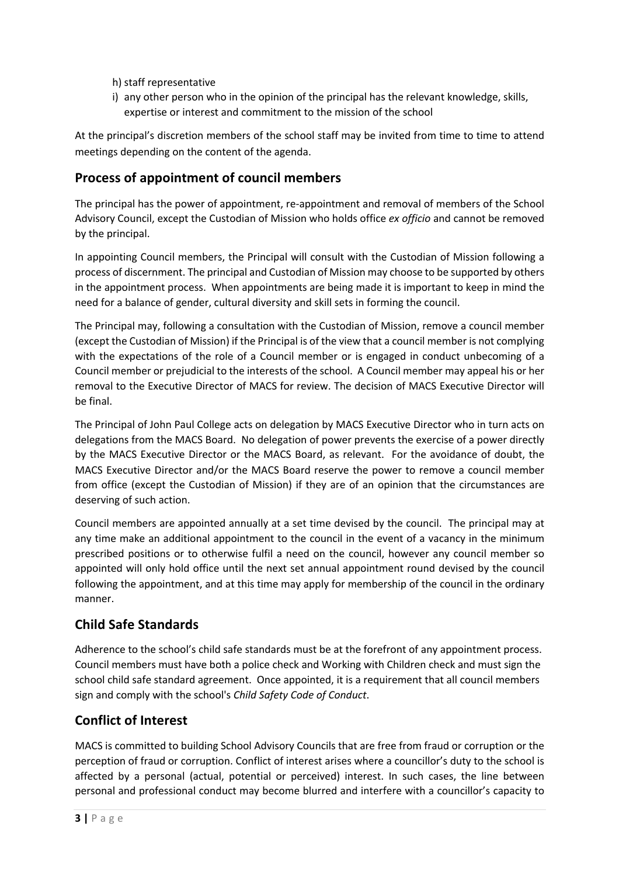h) staff representative

i) any other person who in the opinion of the principal has the relevant knowledge, skills, expertise or interest and commitment to the mission of the school

At the principal's discretion members of the school staff may be invited from time to time to attend meetings depending on the content of the agenda.

### **Process of appointment of council members**

The principal has the power of appointment, re-appointment and removal of members of the School Advisory Council, except the Custodian of Mission who holds office *ex officio* and cannot be removed by the principal.

In appointing Council members, the Principal will consult with the Custodian of Mission following a process of discernment. The principal and Custodian of Mission may choose to be supported by others in the appointment process. When appointments are being made it is important to keep in mind the need for a balance of gender, cultural diversity and skill sets in forming the council.

The Principal may, following a consultation with the Custodian of Mission, remove a council member (except the Custodian of Mission) if the Principal is of the view that a council member is not complying with the expectations of the role of a Council member or is engaged in conduct unbecoming of a Council member or prejudicial to the interests of the school. A Council member may appeal his or her removal to the Executive Director of MACS for review. The decision of MACS Executive Director will be final.

The Principal of John Paul College acts on delegation by MACS Executive Director who in turn acts on delegations from the MACS Board. No delegation of power prevents the exercise of a power directly by the MACS Executive Director or the MACS Board, as relevant. For the avoidance of doubt, the MACS Executive Director and/or the MACS Board reserve the power to remove a council member from office (except the Custodian of Mission) if they are of an opinion that the circumstances are deserving of such action.

Council members are appointed annually at a set time devised by the council. The principal may at any time make an additional appointment to the council in the event of a vacancy in the minimum prescribed positions or to otherwise fulfil a need on the council, however any council member so appointed will only hold office until the next set annual appointment round devised by the council following the appointment, and at this time may apply for membership of the council in the ordinary manner.

### **Child Safe Standards**

Adherence to the school's child safe standards must be at the forefront of any appointment process. Council members must have both a police check and Working with Children check and must sign the school child safe standard agreement. Once appointed, it is a requirement that all council members sign and comply with the school's *Child Safety Code of Conduct*.

## **Conflict of Interest**

MACS is committed to building School Advisory Councils that are free from fraud or corruption or the perception of fraud or corruption. Conflict of interest arises where a councillor's duty to the school is affected by a personal (actual, potential or perceived) interest. In such cases, the line between personal and professional conduct may become blurred and interfere with a councillor's capacity to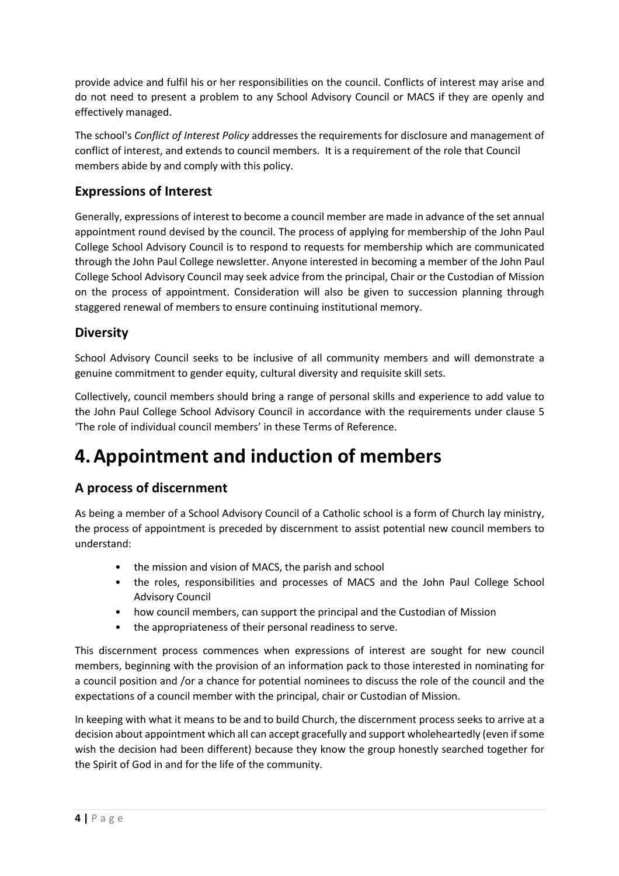provide advice and fulfil his or her responsibilities on the council. Conflicts of interest may arise and do not need to present a problem to any School Advisory Council or MACS if they are openly and effectively managed.

The school's *Conflict of Interest Policy* addresses the requirements for disclosure and management of conflict of interest, and extends to council members. It is a requirement of the role that Council members abide by and comply with this policy.

### **Expressions of Interest**

Generally, expressions of interest to become a council member are made in advance of the set annual appointment round devised by the council. The process of applying for membership of the John Paul College School Advisory Council is to respond to requests for membership which are communicated through the John Paul College newsletter. Anyone interested in becoming a member of the John Paul College School Advisory Council may seek advice from the principal, Chair or the Custodian of Mission on the process of appointment. Consideration will also be given to succession planning through staggered renewal of members to ensure continuing institutional memory.

#### **Diversity**

School Advisory Council seeks to be inclusive of all community members and will demonstrate a genuine commitment to gender equity, cultural diversity and requisite skill sets.

Collectively, council members should bring a range of personal skills and experience to add value to the John Paul College School Advisory Council in accordance with the requirements under clause 5 'The role of individual council members' in these Terms of Reference.

# **4.Appointment and induction of members**

### **A process of discernment**

As being a member of a School Advisory Council of a Catholic school is a form of Church lay ministry, the process of appointment is preceded by discernment to assist potential new council members to understand:

- the mission and vision of MACS, the parish and school
- the roles, responsibilities and processes of MACS and the John Paul College School Advisory Council
- how council members, can support the principal and the Custodian of Mission
- the appropriateness of their personal readiness to serve.

This discernment process commences when expressions of interest are sought for new council members, beginning with the provision of an information pack to those interested in nominating for a council position and /or a chance for potential nominees to discuss the role of the council and the expectations of a council member with the principal, chair or Custodian of Mission.

In keeping with what it means to be and to build Church, the discernment process seeks to arrive at a decision about appointment which all can accept gracefully and support wholeheartedly (even if some wish the decision had been different) because they know the group honestly searched together for the Spirit of God in and for the life of the community.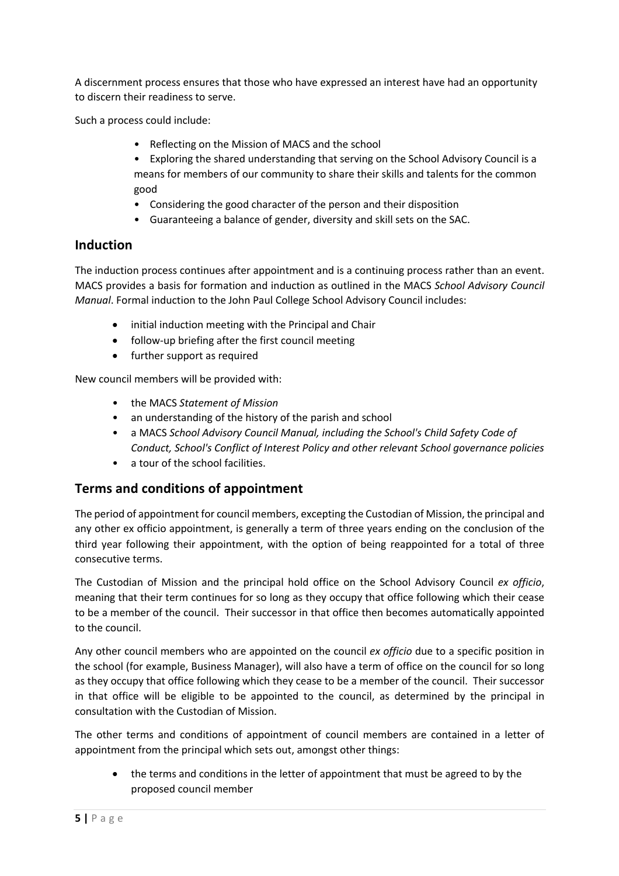A discernment process ensures that those who have expressed an interest have had an opportunity to discern their readiness to serve.

Such a process could include:

- Reflecting on the Mission of MACS and the school
- Exploring the shared understanding that serving on the School Advisory Council is a means for members of our community to share their skills and talents for the common good
- Considering the good character of the person and their disposition
- Guaranteeing a balance of gender, diversity and skill sets on the SAC.

#### **Induction**

The induction process continues after appointment and is a continuing process rather than an event. MACS provides a basis for formation and induction as outlined in the MACS *School Advisory Council Manual*. Formal induction to the John Paul College School Advisory Council includes:

- initial induction meeting with the Principal and Chair
- follow-up briefing after the first council meeting
- further support as required

New council members will be provided with:

- the MACS *Statement of Mission*
- an understanding of the history of the parish and school
- a MACS *School Advisory Council Manual, including the School's Child Safety Code of Conduct, School's Conflict of Interest Policy and other relevant School governance policies*
- a tour of the school facilities.

#### **Terms and conditions of appointment**

The period of appointment for council members, excepting the Custodian of Mission, the principal and any other ex officio appointment, is generally a term of three years ending on the conclusion of the third year following their appointment, with the option of being reappointed for a total of three consecutive terms.

The Custodian of Mission and the principal hold office on the School Advisory Council *ex officio*, meaning that their term continues for so long as they occupy that office following which their cease to be a member of the council. Their successor in that office then becomes automatically appointed to the council.

Any other council members who are appointed on the council *ex officio* due to a specific position in the school (for example, Business Manager), will also have a term of office on the council for so long as they occupy that office following which they cease to be a member of the council. Their successor in that office will be eligible to be appointed to the council, as determined by the principal in consultation with the Custodian of Mission.

The other terms and conditions of appointment of council members are contained in a letter of appointment from the principal which sets out, amongst other things:

• the terms and conditions in the letter of appointment that must be agreed to by the proposed council member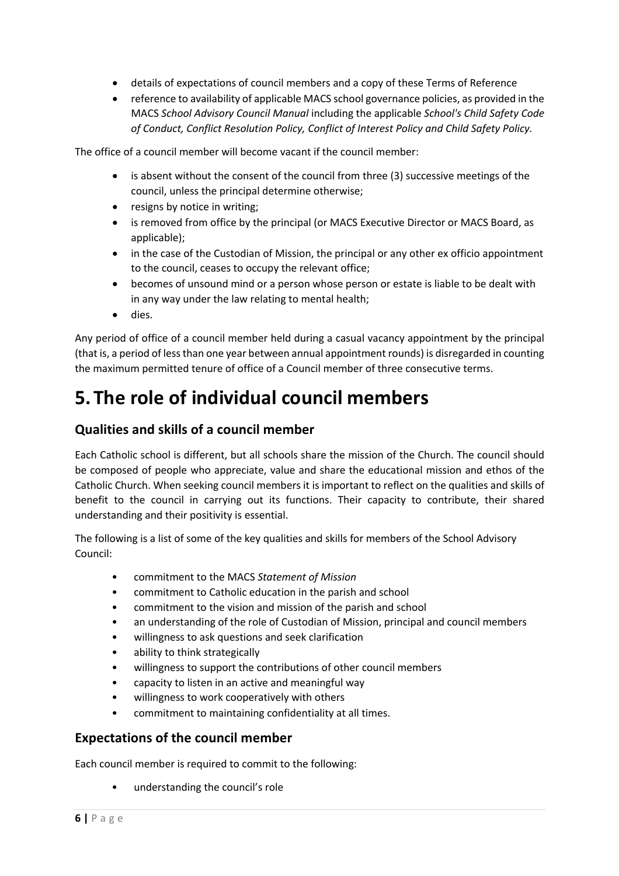- details of expectations of council members and a copy of these Terms of Reference
- reference to availability of applicable MACS school governance policies, as provided in the MACS *School Advisory Council Manual* including the applicable *School's Child Safety Code of Conduct, Conflict Resolution Policy, Conflict of Interest Policy and Child Safety Policy.*

The office of a council member will become vacant if the council member:

- is absent without the consent of the council from three (3) successive meetings of the council, unless the principal determine otherwise;
- resigns by notice in writing;
- is removed from office by the principal (or MACS Executive Director or MACS Board, as applicable);
- in the case of the Custodian of Mission, the principal or any other ex officio appointment to the council, ceases to occupy the relevant office;
- becomes of unsound mind or a person whose person or estate is liable to be dealt with in any way under the law relating to mental health;
- dies.

Any period of office of a council member held during a casual vacancy appointment by the principal (that is, a period of less than one year between annual appointment rounds) is disregarded in counting the maximum permitted tenure of office of a Council member of three consecutive terms.

# **5. The role of individual council members**

#### **Qualities and skills of a council member**

Each Catholic school is different, but all schools share the mission of the Church. The council should be composed of people who appreciate, value and share the educational mission and ethos of the Catholic Church. When seeking council members it is important to reflect on the qualities and skills of benefit to the council in carrying out its functions. Their capacity to contribute, their shared understanding and their positivity is essential.

The following is a list of some of the key qualities and skills for members of the School Advisory Council:

- commitment to the MACS *Statement of Mission*
- commitment to Catholic education in the parish and school
- commitment to the vision and mission of the parish and school
- an understanding of the role of Custodian of Mission, principal and council members
- willingness to ask questions and seek clarification
- ability to think strategically
- willingness to support the contributions of other council members
- capacity to listen in an active and meaningful way
- willingness to work cooperatively with others
- commitment to maintaining confidentiality at all times.

#### **Expectations of the council member**

Each council member is required to commit to the following:

• understanding the council's role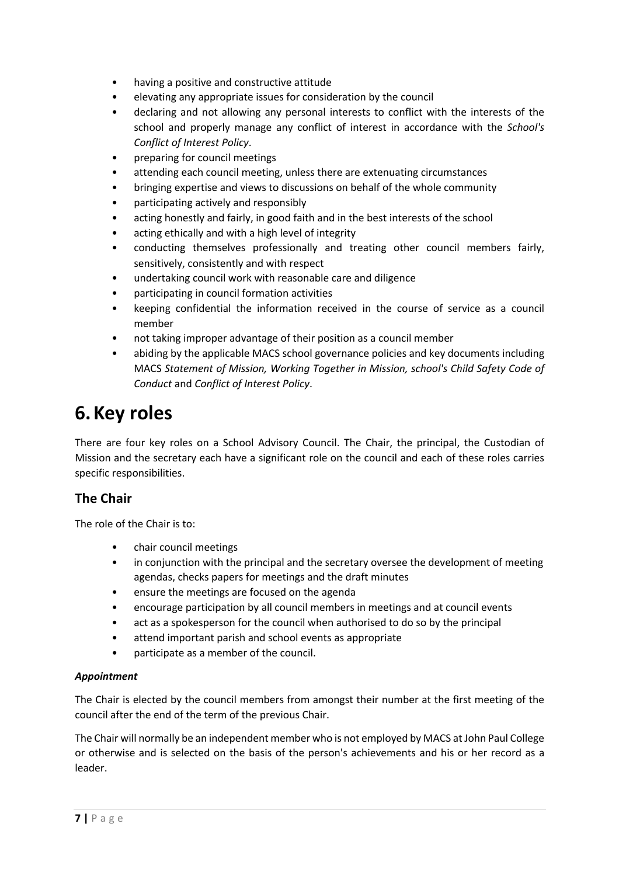- having a positive and constructive attitude
- elevating any appropriate issues for consideration by the council
- declaring and not allowing any personal interests to conflict with the interests of the school and properly manage any conflict of interest in accordance with the *School's Conflict of Interest Policy*.
- preparing for council meetings
- attending each council meeting, unless there are extenuating circumstances
- bringing expertise and views to discussions on behalf of the whole community
- participating actively and responsibly
- acting honestly and fairly, in good faith and in the best interests of the school
- acting ethically and with a high level of integrity
- conducting themselves professionally and treating other council members fairly, sensitively, consistently and with respect
- undertaking council work with reasonable care and diligence
- participating in council formation activities
- keeping confidential the information received in the course of service as a council member
- not taking improper advantage of their position as a council member
- abiding by the applicable MACS school governance policies and key documents including MACS *Statement of Mission, Working Together in Mission, school's Child Safety Code of Conduct* and *Conflict of Interest Policy*.

## **6.Key roles**

There are four key roles on a School Advisory Council. The Chair, the principal, the Custodian of Mission and the secretary each have a significant role on the council and each of these roles carries specific responsibilities.

#### **The Chair**

The role of the Chair is to:

- chair council meetings
- in conjunction with the principal and the secretary oversee the development of meeting agendas, checks papers for meetings and the draft minutes
- ensure the meetings are focused on the agenda
- encourage participation by all council members in meetings and at council events
- act as a spokesperson for the council when authorised to do so by the principal
- attend important parish and school events as appropriate
- participate as a member of the council.

#### *Appointment*

The Chair is elected by the council members from amongst their number at the first meeting of the council after the end of the term of the previous Chair.

The Chair will normally be an independent member who is not employed by MACS at John Paul College or otherwise and is selected on the basis of the person's achievements and his or her record as a leader.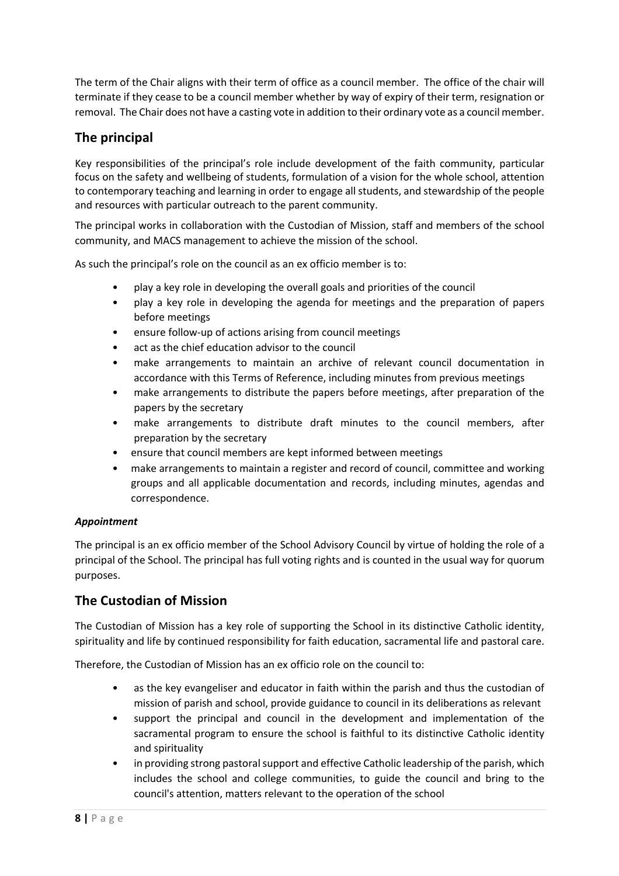The term of the Chair aligns with their term of office as a council member. The office of the chair will terminate if they cease to be a council member whether by way of expiry of their term, resignation or removal. The Chair does not have a casting vote in addition to their ordinary vote as a council member.

### **The principal**

Key responsibilities of the principal's role include development of the faith community, particular focus on the safety and wellbeing of students, formulation of a vision for the whole school, attention to contemporary teaching and learning in order to engage all students, and stewardship of the people and resources with particular outreach to the parent community.

The principal works in collaboration with the Custodian of Mission, staff and members of the school community, and MACS management to achieve the mission of the school.

As such the principal's role on the council as an ex officio member is to:

- play a key role in developing the overall goals and priorities of the council
- play a key role in developing the agenda for meetings and the preparation of papers before meetings
- ensure follow-up of actions arising from council meetings
- act as the chief education advisor to the council
- make arrangements to maintain an archive of relevant council documentation in accordance with this Terms of Reference, including minutes from previous meetings
- make arrangements to distribute the papers before meetings, after preparation of the papers by the secretary
- make arrangements to distribute draft minutes to the council members, after preparation by the secretary
- ensure that council members are kept informed between meetings
- make arrangements to maintain a register and record of council, committee and working groups and all applicable documentation and records, including minutes, agendas and correspondence.

#### *Appointment*

The principal is an ex officio member of the School Advisory Council by virtue of holding the role of a principal of the School. The principal has full voting rights and is counted in the usual way for quorum purposes.

#### **The Custodian of Mission**

The Custodian of Mission has a key role of supporting the School in its distinctive Catholic identity, spirituality and life by continued responsibility for faith education, sacramental life and pastoral care.

Therefore, the Custodian of Mission has an ex officio role on the council to:

- as the key evangeliser and educator in faith within the parish and thus the custodian of mission of parish and school, provide guidance to council in its deliberations as relevant
- support the principal and council in the development and implementation of the sacramental program to ensure the school is faithful to its distinctive Catholic identity and spirituality
- in providing strong pastoral support and effective Catholic leadership of the parish, which includes the school and college communities, to guide the council and bring to the council's attention, matters relevant to the operation of the school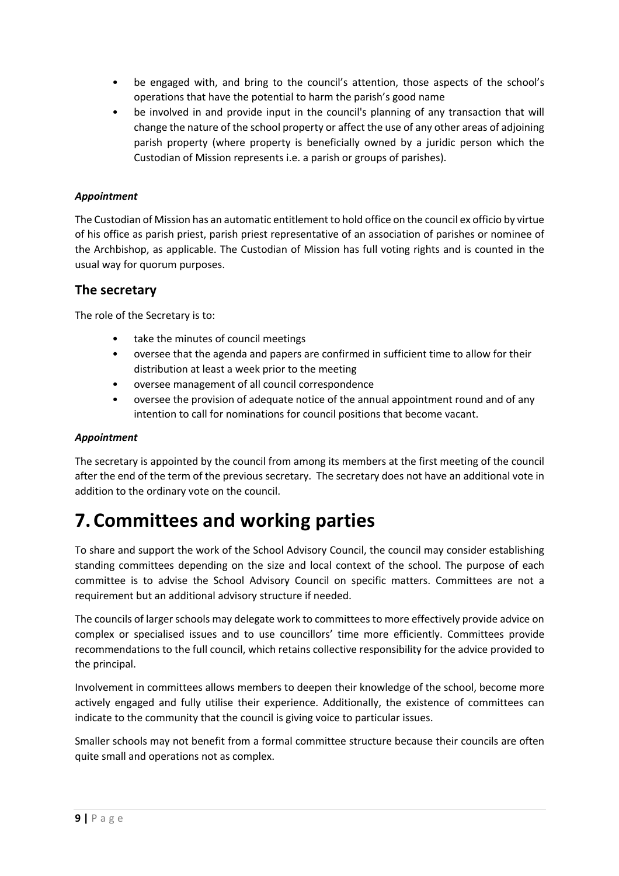- be engaged with, and bring to the council's attention, those aspects of the school's operations that have the potential to harm the parish's good name
- be involved in and provide input in the council's planning of any transaction that will change the nature of the school property or affect the use of any other areas of adjoining parish property (where property is beneficially owned by a juridic person which the Custodian of Mission represents i.e. a parish or groups of parishes).

#### *Appointment*

The Custodian of Mission has an automatic entitlement to hold office on the council ex officio by virtue of his office as parish priest, parish priest representative of an association of parishes or nominee of the Archbishop, as applicable. The Custodian of Mission has full voting rights and is counted in the usual way for quorum purposes.

#### **The secretary**

The role of the Secretary is to:

- take the minutes of council meetings
- oversee that the agenda and papers are confirmed in sufficient time to allow for their distribution at least a week prior to the meeting
- oversee management of all council correspondence
- oversee the provision of adequate notice of the annual appointment round and of any intention to call for nominations for council positions that become vacant.

#### *Appointment*

The secretary is appointed by the council from among its members at the first meeting of the council after the end of the term of the previous secretary. The secretary does not have an additional vote in addition to the ordinary vote on the council.

## **7.Committees and working parties**

To share and support the work of the School Advisory Council, the council may consider establishing standing committees depending on the size and local context of the school. The purpose of each committee is to advise the School Advisory Council on specific matters. Committees are not a requirement but an additional advisory structure if needed.

The councils of larger schools may delegate work to committees to more effectively provide advice on complex or specialised issues and to use councillors' time more efficiently. Committees provide recommendations to the full council, which retains collective responsibility for the advice provided to the principal.

Involvement in committees allows members to deepen their knowledge of the school, become more actively engaged and fully utilise their experience. Additionally, the existence of committees can indicate to the community that the council is giving voice to particular issues.

Smaller schools may not benefit from a formal committee structure because their councils are often quite small and operations not as complex.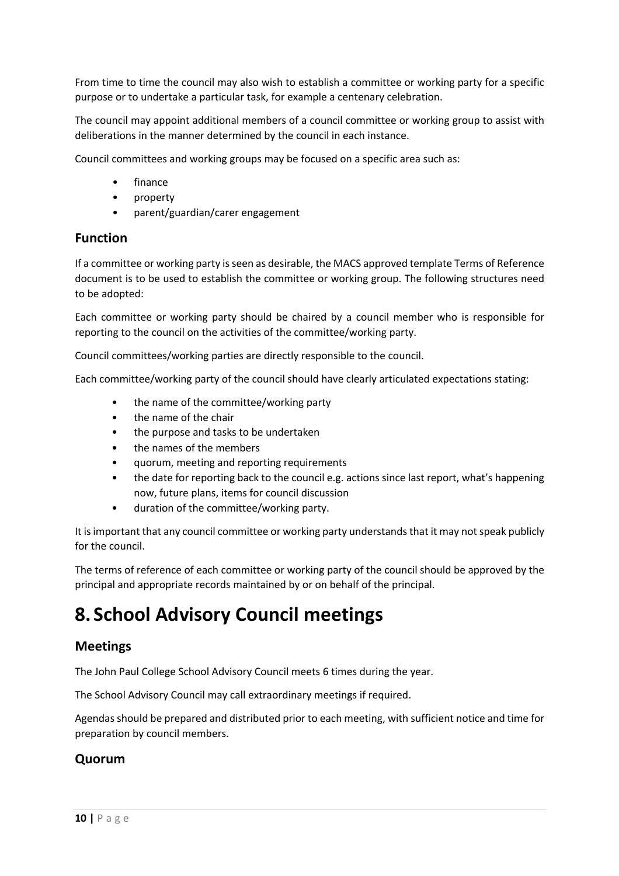From time to time the council may also wish to establish a committee or working party for a specific purpose or to undertake a particular task, for example a centenary celebration.

The council may appoint additional members of a council committee or working group to assist with deliberations in the manner determined by the council in each instance.

Council committees and working groups may be focused on a specific area such as:

- finance
- property
- parent/guardian/carer engagement

#### **Function**

If a committee or working party is seen as desirable, the MACS approved template Terms of Reference document is to be used to establish the committee or working group. The following structures need to be adopted:

Each committee or working party should be chaired by a council member who is responsible for reporting to the council on the activities of the committee/working party.

Council committees/working parties are directly responsible to the council.

Each committee/working party of the council should have clearly articulated expectations stating:

- the name of the committee/working party
- the name of the chair
- the purpose and tasks to be undertaken
- the names of the members
- quorum, meeting and reporting requirements
- the date for reporting back to the council e.g. actions since last report, what's happening now, future plans, items for council discussion
- duration of the committee/working party.

It is important that any council committee or working party understands that it may not speak publicly for the council.

The terms of reference of each committee or working party of the council should be approved by the principal and appropriate records maintained by or on behalf of the principal.

# **8. School Advisory Council meetings**

#### **Meetings**

The John Paul College School Advisory Council meets 6 times during the year.

The School Advisory Council may call extraordinary meetings if required.

Agendas should be prepared and distributed prior to each meeting, with sufficient notice and time for preparation by council members.

#### **Quorum**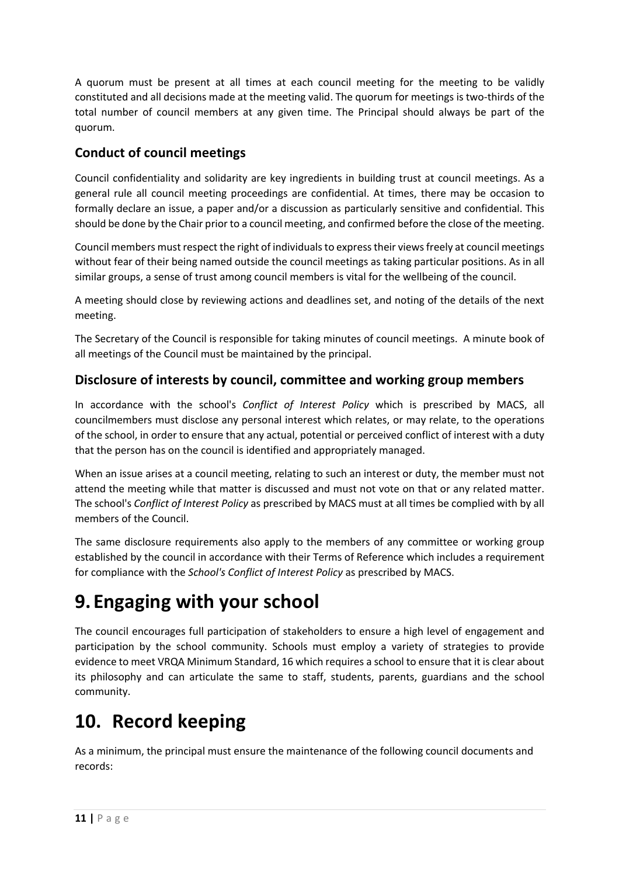A quorum must be present at all times at each council meeting for the meeting to be validly constituted and all decisions made at the meeting valid. The quorum for meetings is two-thirds of the total number of council members at any given time. The Principal should always be part of the quorum.

## **Conduct of council meetings**

Council confidentiality and solidarity are key ingredients in building trust at council meetings. As a general rule all council meeting proceedings are confidential. At times, there may be occasion to formally declare an issue, a paper and/or a discussion as particularly sensitive and confidential. This should be done by the Chair prior to a council meeting, and confirmed before the close of the meeting.

Council members must respect the right of individuals to express their views freely at council meetings without fear of their being named outside the council meetings as taking particular positions. As in all similar groups, a sense of trust among council members is vital for the wellbeing of the council.

A meeting should close by reviewing actions and deadlines set, and noting of the details of the next meeting.

The Secretary of the Council is responsible for taking minutes of council meetings. A minute book of all meetings of the Council must be maintained by the principal.

### **Disclosure of interests by council, committee and working group members**

In accordance with the school's *Conflict of Interest Policy* which is prescribed by MACS, all councilmembers must disclose any personal interest which relates, or may relate, to the operations of the school, in order to ensure that any actual, potential or perceived conflict of interest with a duty that the person has on the council is identified and appropriately managed.

When an issue arises at a council meeting, relating to such an interest or duty, the member must not attend the meeting while that matter is discussed and must not vote on that or any related matter. The school's *Conflict of Interest Policy* as prescribed by MACS must at all times be complied with by all members of the Council.

The same disclosure requirements also apply to the members of any committee or working group established by the council in accordance with their Terms of Reference which includes a requirement for compliance with the *School's Conflict of Interest Policy* as prescribed by MACS.

# **9. Engaging with your school**

The council encourages full participation of stakeholders to ensure a high level of engagement and participation by the school community. Schools must employ a variety of strategies to provide evidence to meet VRQA Minimum Standard, 16 which requires a school to ensure that it is clear about its philosophy and can articulate the same to staff, students, parents, guardians and the school community.

# **10. Record keeping**

As a minimum, the principal must ensure the maintenance of the following council documents and records: